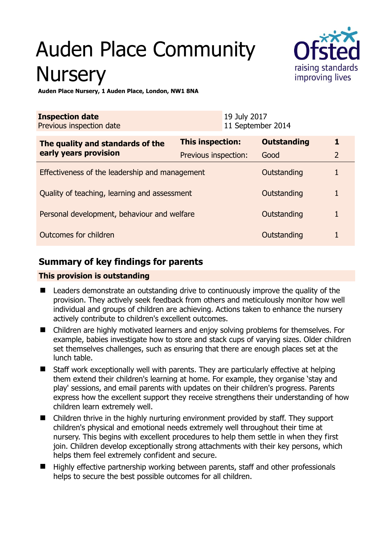# Auden Place Community **Nursery**



**Auden Place Nursery, 1 Auden Place, London, NW1 8NA** 

| <b>Inspection date</b><br>Previous inspection date        |                      | 19 July 2017<br>11 September 2014 |                    |                |
|-----------------------------------------------------------|----------------------|-----------------------------------|--------------------|----------------|
| The quality and standards of the<br>early years provision | This inspection:     |                                   | <b>Outstanding</b> | 1              |
|                                                           | Previous inspection: |                                   | Good               | $\overline{2}$ |
| Effectiveness of the leadership and management            |                      |                                   | Outstanding        |                |
| Quality of teaching, learning and assessment              |                      |                                   | Outstanding        | 1              |
| Personal development, behaviour and welfare               |                      |                                   | Outstanding        |                |
| Outcomes for children                                     |                      |                                   | Outstanding        |                |

# **Summary of key findings for parents**

## **This provision is outstanding**

- Leaders demonstrate an outstanding drive to continuously improve the quality of the provision. They actively seek feedback from others and meticulously monitor how well individual and groups of children are achieving. Actions taken to enhance the nursery actively contribute to children's excellent outcomes.
- Children are highly motivated learners and enjoy solving problems for themselves. For example, babies investigate how to store and stack cups of varying sizes. Older children set themselves challenges, such as ensuring that there are enough places set at the lunch table.
- Staff work exceptionally well with parents. They are particularly effective at helping them extend their children's learning at home. For example, they organise 'stay and play' sessions, and email parents with updates on their children's progress. Parents express how the excellent support they receive strengthens their understanding of how children learn extremely well.
- Children thrive in the highly nurturing environment provided by staff. They support children's physical and emotional needs extremely well throughout their time at nursery. This begins with excellent procedures to help them settle in when they first join. Children develop exceptionally strong attachments with their key persons, which helps them feel extremely confident and secure.
- $\blacksquare$  Highly effective partnership working between parents, staff and other professionals helps to secure the best possible outcomes for all children.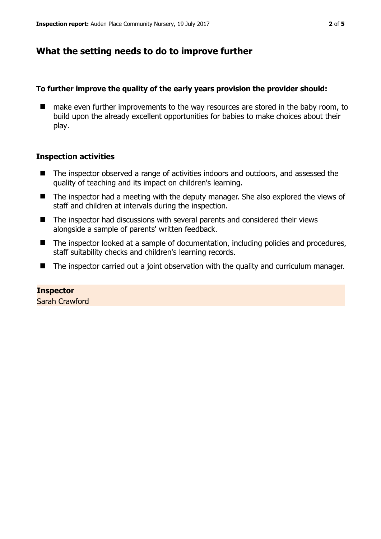# **What the setting needs to do to improve further**

#### **To further improve the quality of the early years provision the provider should:**

■ make even further improvements to the way resources are stored in the baby room, to build upon the already excellent opportunities for babies to make choices about their play.

#### **Inspection activities**

- The inspector observed a range of activities indoors and outdoors, and assessed the quality of teaching and its impact on children's learning.
- The inspector had a meeting with the deputy manager. She also explored the views of staff and children at intervals during the inspection.
- The inspector had discussions with several parents and considered their views alongside a sample of parents' written feedback.
- The inspector looked at a sample of documentation, including policies and procedures, staff suitability checks and children's learning records.
- The inspector carried out a joint observation with the quality and curriculum manager.

**Inspector**  Sarah Crawford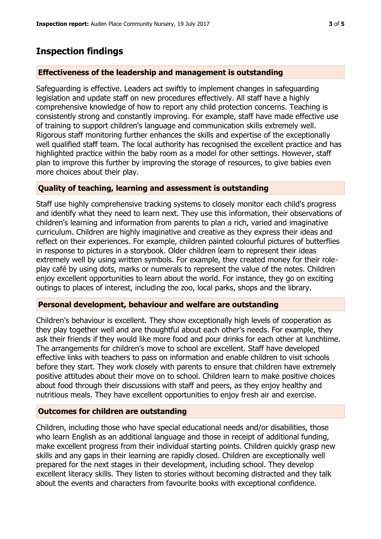# **Inspection findings**

### **Effectiveness of the leadership and management is outstanding**

Safeguarding is effective. Leaders act swiftly to implement changes in safeguarding legislation and update staff on new procedures effectively. All staff have a highly comprehensive knowledge of how to report any child protection concerns. Teaching is consistently strong and constantly improving. For example, staff have made effective use of training to support children's language and communication skills extremely well. Rigorous staff monitoring further enhances the skills and expertise of the exceptionally well qualified staff team. The local authority has recognised the excellent practice and has highlighted practice within the baby room as a model for other settings. However, staff plan to improve this further by improving the storage of resources, to give babies even more choices about their play.

## **Quality of teaching, learning and assessment is outstanding**

Staff use highly comprehensive tracking systems to closely monitor each child's progress and identify what they need to learn next. They use this information, their observations of children's learning and information from parents to plan a rich, varied and imaginative curriculum. Children are highly imaginative and creative as they express their ideas and reflect on their experiences. For example, children painted colourful pictures of butterflies in response to pictures in a storybook. Older children learn to represent their ideas extremely well by using written symbols. For example, they created money for their roleplay café by using dots, marks or numerals to represent the value of the notes. Children enjoy excellent opportunities to learn about the world. For instance, they go on exciting outings to places of interest, including the zoo, local parks, shops and the library.

### **Personal development, behaviour and welfare are outstanding**

Children's behaviour is excellent. They show exceptionally high levels of cooperation as they play together well and are thoughtful about each other's needs. For example, they ask their friends if they would like more food and pour drinks for each other at lunchtime. The arrangements for children's move to school are excellent. Staff have developed effective links with teachers to pass on information and enable children to visit schools before they start. They work closely with parents to ensure that children have extremely positive attitudes about their move on to school. Children learn to make positive choices about food through their discussions with staff and peers, as they enjoy healthy and nutritious meals. They have excellent opportunities to enjoy fresh air and exercise.

### **Outcomes for children are outstanding**

Children, including those who have special educational needs and/or disabilities, those who learn English as an additional language and those in receipt of additional funding, make excellent progress from their individual starting points. Children quickly grasp new skills and any gaps in their learning are rapidly closed. Children are exceptionally well prepared for the next stages in their development, including school. They develop excellent literacy skills. They listen to stories without becoming distracted and they talk about the events and characters from favourite books with exceptional confidence.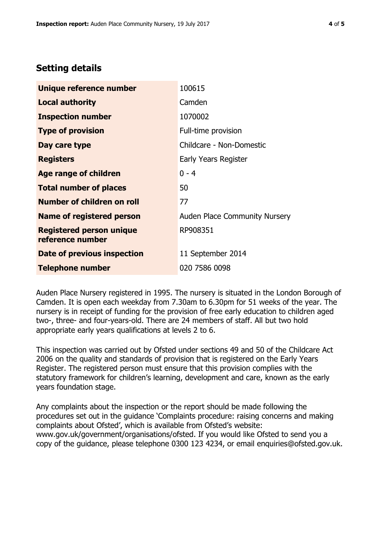# **Setting details**

| Unique reference number                             | 100615                               |  |
|-----------------------------------------------------|--------------------------------------|--|
| <b>Local authority</b>                              | Camden                               |  |
| <b>Inspection number</b>                            | 1070002                              |  |
| <b>Type of provision</b>                            | Full-time provision                  |  |
| Day care type                                       | Childcare - Non-Domestic             |  |
| <b>Registers</b>                                    | Early Years Register                 |  |
| <b>Age range of children</b>                        | $0 - 4$                              |  |
| <b>Total number of places</b>                       | 50                                   |  |
| <b>Number of children on roll</b>                   | 77                                   |  |
| Name of registered person                           | <b>Auden Place Community Nursery</b> |  |
| <b>Registered person unique</b><br>reference number | RP908351                             |  |
| <b>Date of previous inspection</b>                  | 11 September 2014                    |  |
| <b>Telephone number</b>                             | 020 7586 0098                        |  |

Auden Place Nursery registered in 1995. The nursery is situated in the London Borough of Camden. It is open each weekday from 7.30am to 6.30pm for 51 weeks of the year. The nursery is in receipt of funding for the provision of free early education to children aged two-, three- and four-years-old. There are 24 members of staff. All but two hold appropriate early years qualifications at levels 2 to 6.

This inspection was carried out by Ofsted under sections 49 and 50 of the Childcare Act 2006 on the quality and standards of provision that is registered on the Early Years Register. The registered person must ensure that this provision complies with the statutory framework for children's learning, development and care, known as the early years foundation stage.

Any complaints about the inspection or the report should be made following the procedures set out in the guidance 'Complaints procedure: raising concerns and making complaints about Ofsted', which is available from Ofsted's website: www.gov.uk/government/organisations/ofsted. If you would like Ofsted to send you a copy of the guidance, please telephone 0300 123 4234, or email enquiries@ofsted.gov.uk.